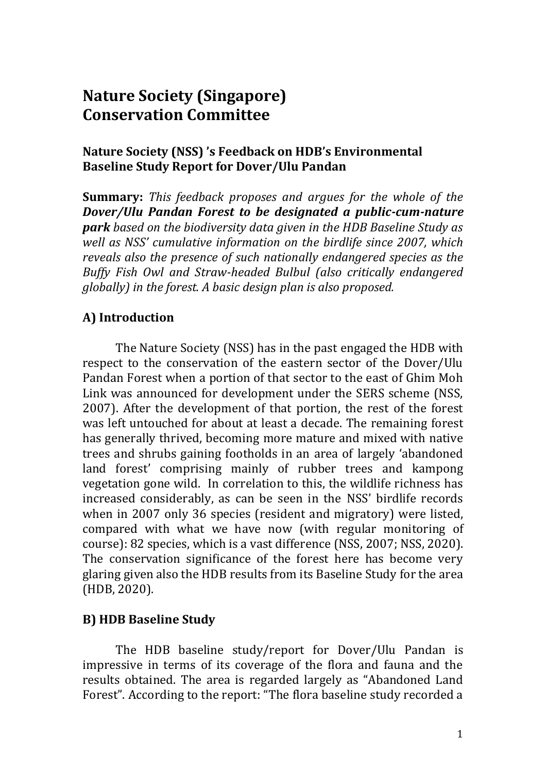# **Nature Society (Singapore) Conservation Committee**

## **Nature Society (NSS) 's Feedback on HDB's Environmental Baseline Study Report for Dover/Ulu Pandan**

**Summary:** *This feedback proposes and argues for the whole of the Dover/Ulu Pandan Forest to be designated a public-cum-nature park based on the biodiversity data given in the HDB Baseline Study as well as NSS' cumulative information on the birdlife since 2007, which reveals also the presence of such nationally endangered species as the Buffy Fish Owl and Straw-headed Bulbul (also critically endangered globally) in the forest. A basic design plan is also proposed.*

## **A) Introduction**

The Nature Society (NSS) has in the past engaged the HDB with respect to the conservation of the eastern sector of the Dover/Ulu Pandan Forest when a portion of that sector to the east of Ghim Moh Link was announced for development under the SERS scheme (NSS, 2007). After the development of that portion, the rest of the forest was left untouched for about at least a decade. The remaining forest has generally thrived, becoming more mature and mixed with native trees and shrubs gaining footholds in an area of largely 'abandoned land forest' comprising mainly of rubber trees and kampong vegetation gone wild. In correlation to this, the wildlife richness has increased considerably, as can be seen in the NSS' birdlife records when in 2007 only 36 species (resident and migratory) were listed, compared with what we have now (with regular monitoring of course): 82 species, which is a vast difference (NSS, 2007; NSS, 2020). The conservation significance of the forest here has become very glaring given also the HDB results from its Baseline Study for the area (HDB, 2020).

## **B) HDB Baseline Study**

The HDB baseline study/report for Dover/Ulu Pandan is impressive in terms of its coverage of the flora and fauna and the results obtained. The area is regarded largely as "Abandoned Land Forest". According to the report: "The flora baseline study recorded a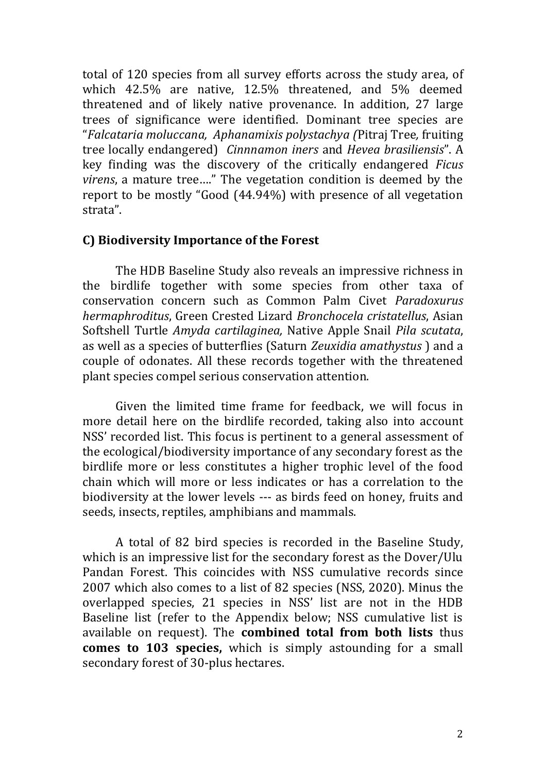total of 120 species from all survey efforts across the study area, of which 42.5% are native, 12.5% threatened, and 5% deemed threatened and of likely native provenance. In addition, 27 large trees of significance were identified. Dominant tree species are "*Falcataria moluccana, Aphanamixis polystachya (*Pitraj Tree*,* fruiting tree locally endangered) *Cinnnamon iners* and *Hevea brasiliensis*". A key finding was the discovery of the critically endangered *Ficus virens*, a mature tree…." The vegetation condition is deemed by the report to be mostly "Good (44.94%) with presence of all vegetation strata".

#### **C) Biodiversity Importance of the Forest**

The HDB Baseline Study also reveals an impressive richness in the birdlife together with some species from other taxa of conservation concern such as Common Palm Civet *Paradoxurus hermaphroditus*, Green Crested Lizard *Bronchocela cristatellus*, Asian Softshell Turtle *Amyda cartilaginea,* Native Apple Snail *Pila scutata*, as well as a species of butterflies (Saturn *Zeuxidia amathystus* ) and a couple of odonates. All these records together with the threatened plant species compel serious conservation attention.

Given the limited time frame for feedback, we will focus in more detail here on the birdlife recorded, taking also into account NSS' recorded list. This focus is pertinent to a general assessment of the ecological/biodiversity importance of any secondary forest as the birdlife more or less constitutes a higher trophic level of the food chain which will more or less indicates or has a correlation to the biodiversity at the lower levels --- as birds feed on honey, fruits and seeds, insects, reptiles, amphibians and mammals.

A total of 82 bird species is recorded in the Baseline Study, which is an impressive list for the secondary forest as the Dover/Ulu Pandan Forest. This coincides with NSS cumulative records since 2007 which also comes to a list of 82 species (NSS, 2020). Minus the overlapped species, 21 species in NSS' list are not in the HDB Baseline list (refer to the Appendix below; NSS cumulative list is available on request). The **combined total from both lists** thus **comes to 103 species,** which is simply astounding for a small secondary forest of 30-plus hectares.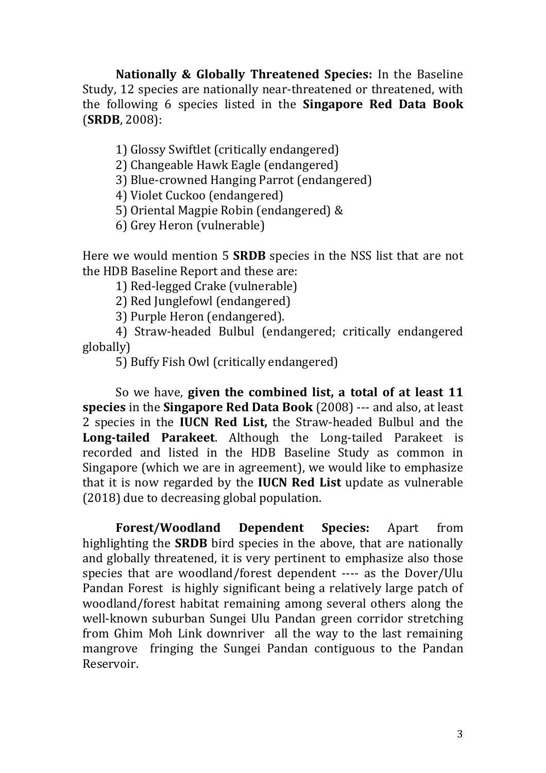**Nationally & Globally Threatened Species:** In the Baseline Study, 12 species are nationally near-threatened or threatened, with the following 6 species listed in the **Singapore Red Data Book** (**SRDB**, 2008):

1) Glossy Swiftlet (critically endangered)

2) Changeable Hawk Eagle (endangered)

3) Blue-crowned Hanging Parrot (endangered)

4) Violet Cuckoo (endangered)

5) Oriental Magpie Robin (endangered) &

6) Grey Heron (vulnerable)

Here we would mention 5 **SRDB** species in the NSS list that are not the HDB Baseline Report and these are:

1) Red-legged Crake (vulnerable)

2) Red Junglefowl (endangered)

3) Purple Heron (endangered).

4) Straw-headed Bulbul (endangered; critically endangered globally)

5) Buffy Fish Owl (critically endangered)

So we have, **given the combined list, a total of at least 11 species** in the **Singapore Red Data Book** (2008) --- and also, at least 2 species in the **IUCN Red List,** the Straw-headed Bulbul and the **Long-tailed Parakeet**. Although the Long-tailed Parakeet is recorded and listed in the HDB Baseline Study as common in Singapore (which we are in agreement), we would like to emphasize that it is now regarded by the **IUCN Red List** update as vulnerable (2018) due to decreasing global population.

**Forest/Woodland Dependent Species:** Apart from highlighting the **SRDB** bird species in the above, that are nationally and globally threatened, it is very pertinent to emphasize also those species that are woodland/forest dependent ---- as the Dover/Ulu Pandan Forest is highly significant being a relatively large patch of woodland/forest habitat remaining among several others along the well-known suburban Sungei Ulu Pandan green corridor stretching from Ghim Moh Link downriver all the way to the last remaining mangrove fringing the Sungei Pandan contiguous to the Pandan Reservoir.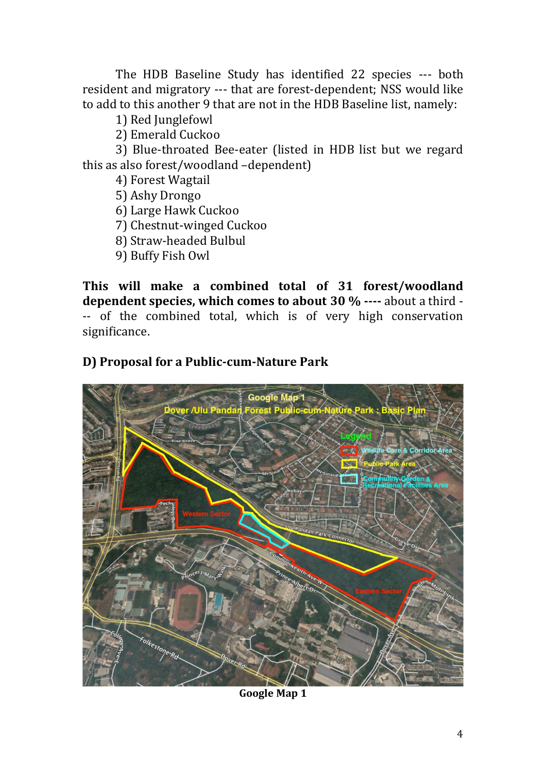The HDB Baseline Study has identified 22 species --- both resident and migratory --- that are forest-dependent; NSS would like to add to this another 9 that are not in the HDB Baseline list, namely:

1) Red Junglefowl

2) Emerald Cuckoo

3) Blue-throated Bee-eater (listed in HDB list but we regard this as also forest/woodland –dependent)

4) Forest Wagtail

5) Ashy Drongo

6) Large Hawk Cuckoo

7) Chestnut-winged Cuckoo

- 8) Straw-headed Bulbul
- 9) Buffy Fish Owl

**This will make a combined total of 31 forest/woodland dependent species, which comes to about 30 % ----** about a third - -- of the combined total, which is of very high conservation significance.

## **D) Proposal for a Public-cum-Nature Park**



**Google Map 1**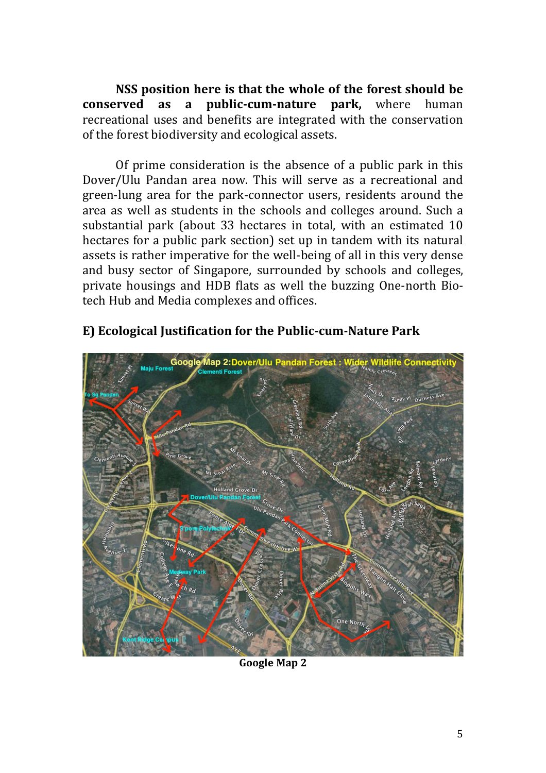**NSS position here is that the whole of the forest should be conserved as a public-cum-nature park,** where human recreational uses and benefits are integrated with the conservation of the forest biodiversity and ecological assets.

Of prime consideration is the absence of a public park in this Dover/Ulu Pandan area now. This will serve as a recreational and green-lung area for the park-connector users, residents around the area as well as students in the schools and colleges around. Such a substantial park (about 33 hectares in total, with an estimated 10 hectares for a public park section) set up in tandem with its natural assets is rather imperative for the well-being of all in this very dense and busy sector of Singapore, surrounded by schools and colleges, private housings and HDB flats as well the buzzing One-north Biotech Hub and Media complexes and offices.



## **E) Ecological Justification for the Public-cum-Nature Park**

**Google Map 2**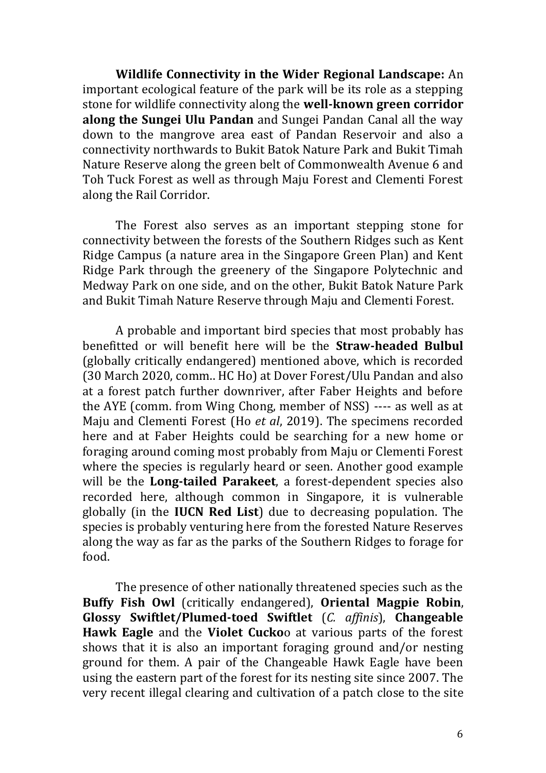**Wildlife Connectivity in the Wider Regional Landscape:** An important ecological feature of the park will be its role as a stepping stone for wildlife connectivity along the **well-known green corridor along the Sungei Ulu Pandan** and Sungei Pandan Canal all the way down to the mangrove area east of Pandan Reservoir and also a connectivity northwards to Bukit Batok Nature Park and Bukit Timah Nature Reserve along the green belt of Commonwealth Avenue 6 and Toh Tuck Forest as well as through Maju Forest and Clementi Forest along the Rail Corridor.

The Forest also serves as an important stepping stone for connectivity between the forests of the Southern Ridges such as Kent Ridge Campus (a nature area in the Singapore Green Plan) and Kent Ridge Park through the greenery of the Singapore Polytechnic and Medway Park on one side, and on the other, Bukit Batok Nature Park and Bukit Timah Nature Reserve through Maju and Clementi Forest.

A probable and important bird species that most probably has benefitted or will benefit here will be the **Straw-headed Bulbul** (globally critically endangered) mentioned above, which is recorded (30 March 2020, comm.. HC Ho) at Dover Forest/Ulu Pandan and also at a forest patch further downriver, after Faber Heights and before the AYE (comm. from Wing Chong, member of NSS) ---- as well as at Maju and Clementi Forest (Ho *et al*, 2019). The specimens recorded here and at Faber Heights could be searching for a new home or foraging around coming most probably from Maju or Clementi Forest where the species is regularly heard or seen. Another good example will be the **Long-tailed Parakeet**, a forest-dependent species also recorded here, although common in Singapore, it is vulnerable globally (in the **IUCN Red List**) due to decreasing population. The species is probably venturing here from the forested Nature Reserves along the way as far as the parks of the Southern Ridges to forage for food.

The presence of other nationally threatened species such as the **Buffy Fish Owl** (critically endangered), **Oriental Magpie Robin**, **Glossy Swiftlet/Plumed-toed Swiftlet** (*C. affinis*), **Changeable Hawk Eagle** and the **Violet Cucko**o at various parts of the forest shows that it is also an important foraging ground and/or nesting ground for them. A pair of the Changeable Hawk Eagle have been using the eastern part of the forest for its nesting site since 2007. The very recent illegal clearing and cultivation of a patch close to the site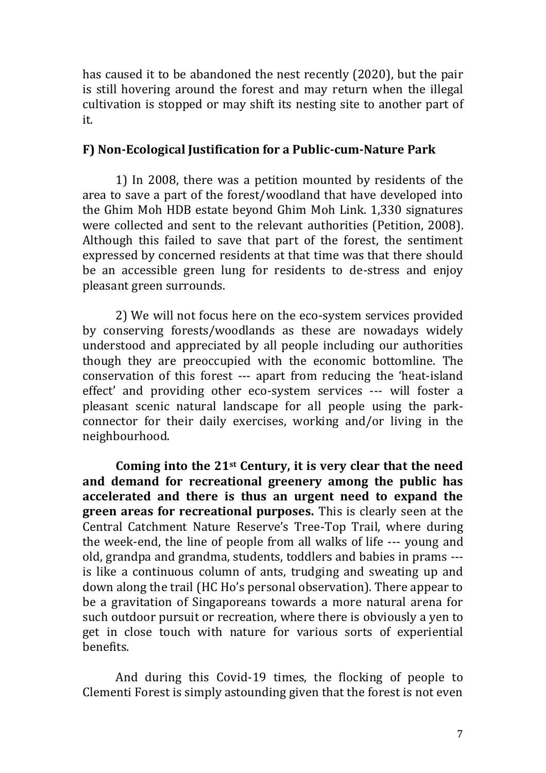has caused it to be abandoned the nest recently (2020), but the pair is still hovering around the forest and may return when the illegal cultivation is stopped or may shift its nesting site to another part of it.

#### **F) Non-Ecological Justification for a Public-cum-Nature Park**

1) In 2008, there was a petition mounted by residents of the area to save a part of the forest/woodland that have developed into the Ghim Moh HDB estate beyond Ghim Moh Link. 1,330 signatures were collected and sent to the relevant authorities (Petition, 2008). Although this failed to save that part of the forest, the sentiment expressed by concerned residents at that time was that there should be an accessible green lung for residents to de-stress and enjoy pleasant green surrounds.

2) We will not focus here on the eco-system services provided by conserving forests/woodlands as these are nowadays widely understood and appreciated by all people including our authorities though they are preoccupied with the economic bottomline. The conservation of this forest --- apart from reducing the 'heat-island effect' and providing other eco-system services --- will foster a pleasant scenic natural landscape for all people using the parkconnector for their daily exercises, working and/or living in the neighbourhood.

**Coming into the 21st Century, it is very clear that the need and demand for recreational greenery among the public has accelerated and there is thus an urgent need to expand the green areas for recreational purposes.** This is clearly seen at the Central Catchment Nature Reserve's Tree-Top Trail, where during the week-end, the line of people from all walks of life --- young and old, grandpa and grandma, students, toddlers and babies in prams -- is like a continuous column of ants, trudging and sweating up and down along the trail (HC Ho's personal observation). There appear to be a gravitation of Singaporeans towards a more natural arena for such outdoor pursuit or recreation, where there is obviously a yen to get in close touch with nature for various sorts of experiential benefits.

And during this Covid-19 times, the flocking of people to Clementi Forest is simply astounding given that the forest is not even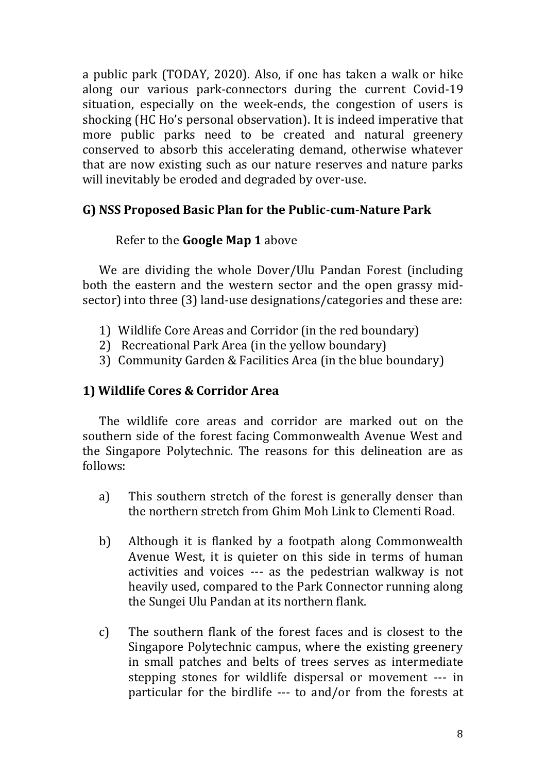a public park (TODAY, 2020). Also, if one has taken a walk or hike along our various park-connectors during the current Covid-19 situation, especially on the week-ends, the congestion of users is shocking (HC Ho's personal observation). It is indeed imperative that more public parks need to be created and natural greenery conserved to absorb this accelerating demand, otherwise whatever that are now existing such as our nature reserves and nature parks will inevitably be eroded and degraded by over-use.

## **G) NSS Proposed Basic Plan for the Public-cum-Nature Park**

## Refer to the **Google Map 1** above

We are dividing the whole Dover/Ulu Pandan Forest (including both the eastern and the western sector and the open grassy midsector) into three (3) land-use designations/categories and these are:

- 1) Wildlife Core Areas and Corridor (in the red boundary)
- 2) Recreational Park Area (in the yellow boundary)
- 3) Community Garden & Facilities Area (in the blue boundary)

## **1) Wildlife Cores & Corridor Area**

The wildlife core areas and corridor are marked out on the southern side of the forest facing Commonwealth Avenue West and the Singapore Polytechnic. The reasons for this delineation are as follows:

- a) This southern stretch of the forest is generally denser than the northern stretch from Ghim Moh Link to Clementi Road.
- b) Although it is flanked by a footpath along Commonwealth Avenue West, it is quieter on this side in terms of human activities and voices --- as the pedestrian walkway is not heavily used, compared to the Park Connector running along the Sungei Ulu Pandan at its northern flank.
- c) The southern flank of the forest faces and is closest to the Singapore Polytechnic campus, where the existing greenery in small patches and belts of trees serves as intermediate stepping stones for wildlife dispersal or movement --- in particular for the birdlife --- to and/or from the forests at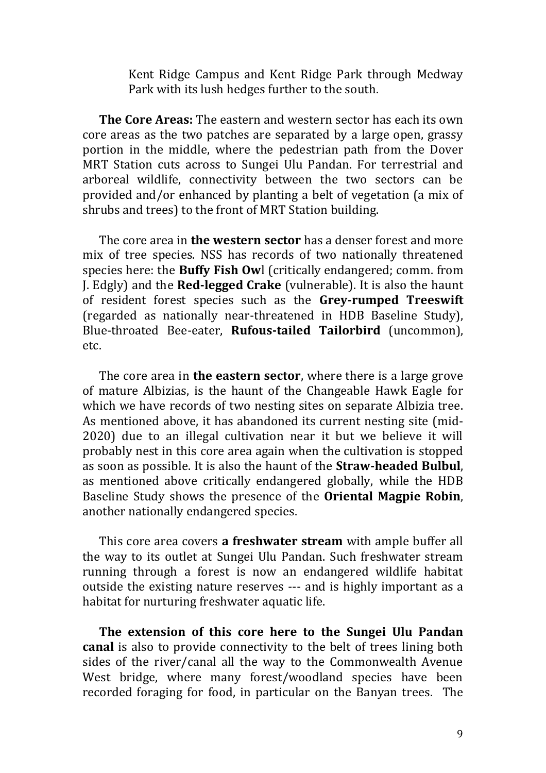Kent Ridge Campus and Kent Ridge Park through Medway Park with its lush hedges further to the south.

**The Core Areas:** The eastern and western sector has each its own core areas as the two patches are separated by a large open, grassy portion in the middle, where the pedestrian path from the Dover MRT Station cuts across to Sungei Ulu Pandan. For terrestrial and arboreal wildlife, connectivity between the two sectors can be provided and/or enhanced by planting a belt of vegetation (a mix of shrubs and trees) to the front of MRT Station building.

The core area in **the western sector** has a denser forest and more mix of tree species. NSS has records of two nationally threatened species here: the **Buffy Fish Ow**l (critically endangered; comm. from J. Edgly) and the **Red-legged Crake** (vulnerable). It is also the haunt of resident forest species such as the **Grey-rumped Treeswift** (regarded as nationally near-threatened in HDB Baseline Study), Blue-throated Bee-eater, **Rufous-tailed Tailorbird** (uncommon), etc.

The core area in **the eastern sector**, where there is a large grove of mature Albizias, is the haunt of the Changeable Hawk Eagle for which we have records of two nesting sites on separate Albizia tree. As mentioned above, it has abandoned its current nesting site (mid-2020) due to an illegal cultivation near it but we believe it will probably nest in this core area again when the cultivation is stopped as soon as possible. It is also the haunt of the **Straw-headed Bulbul**, as mentioned above critically endangered globally, while the HDB Baseline Study shows the presence of the **Oriental Magpie Robin**, another nationally endangered species.

This core area covers **a freshwater stream** with ample buffer all the way to its outlet at Sungei Ulu Pandan. Such freshwater stream running through a forest is now an endangered wildlife habitat outside the existing nature reserves --- and is highly important as a habitat for nurturing freshwater aquatic life.

**The extension of this core here to the Sungei Ulu Pandan canal** is also to provide connectivity to the belt of trees lining both sides of the river/canal all the way to the Commonwealth Avenue West bridge, where many forest/woodland species have been recorded foraging for food, in particular on the Banyan trees. The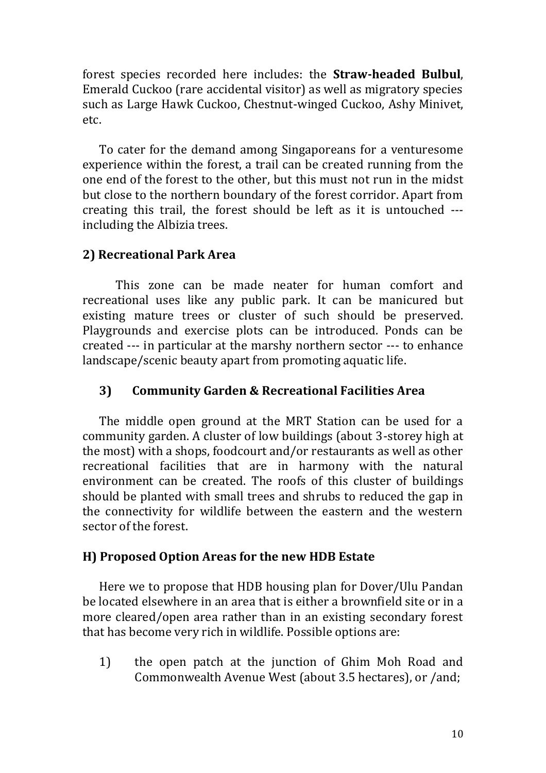forest species recorded here includes: the **Straw-headed Bulbul**, Emerald Cuckoo (rare accidental visitor) as well as migratory species such as Large Hawk Cuckoo, Chestnut-winged Cuckoo, Ashy Minivet, etc.

To cater for the demand among Singaporeans for a venturesome experience within the forest, a trail can be created running from the one end of the forest to the other, but this must not run in the midst but close to the northern boundary of the forest corridor. Apart from creating this trail, the forest should be left as it is untouched -- including the Albizia trees.

## **2) Recreational Park Area**

This zone can be made neater for human comfort and recreational uses like any public park. It can be manicured but existing mature trees or cluster of such should be preserved. Playgrounds and exercise plots can be introduced. Ponds can be created --- in particular at the marshy northern sector --- to enhance landscape/scenic beauty apart from promoting aquatic life.

#### **3) Community Garden & Recreational Facilities Area**

The middle open ground at the MRT Station can be used for a community garden. A cluster of low buildings (about 3-storey high at the most) with a shops, foodcourt and/or restaurants as well as other recreational facilities that are in harmony with the natural environment can be created. The roofs of this cluster of buildings should be planted with small trees and shrubs to reduced the gap in the connectivity for wildlife between the eastern and the western sector of the forest.

#### **H) Proposed Option Areas for the new HDB Estate**

Here we to propose that HDB housing plan for Dover/Ulu Pandan be located elsewhere in an area that is either a brownfield site or in a more cleared/open area rather than in an existing secondary forest that has become very rich in wildlife. Possible options are:

1) the open patch at the junction of Ghim Moh Road and Commonwealth Avenue West (about 3.5 hectares), or /and;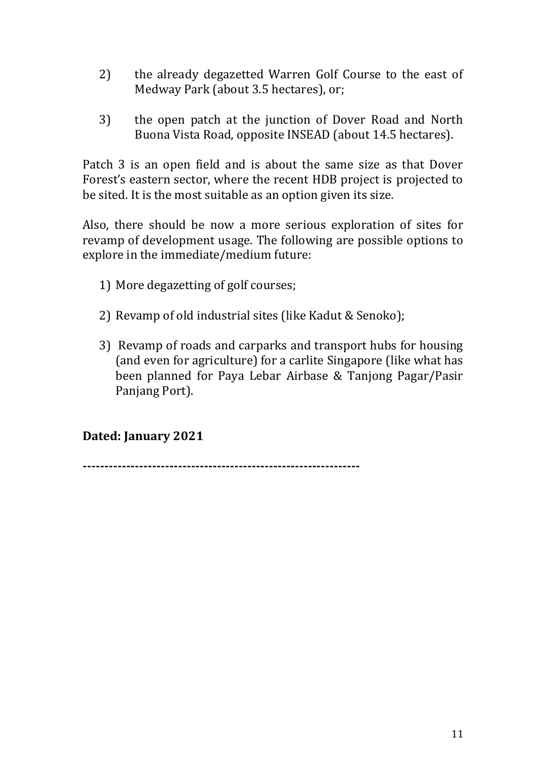- 2) the already degazetted Warren Golf Course to the east of Medway Park (about 3.5 hectares), or;
- 3) the open patch at the junction of Dover Road and North Buona Vista Road, opposite INSEAD (about 14.5 hectares).

Patch 3 is an open field and is about the same size as that Dover Forest's eastern sector, where the recent HDB project is projected to be sited. It is the most suitable as an option given its size.

Also, there should be now a more serious exploration of sites for revamp of development usage. The following are possible options to explore in the immediate/medium future:

- 1) More degazetting of golf courses;
- 2) Revamp of old industrial sites (like Kadut & Senoko);
- 3) Revamp of roads and carparks and transport hubs for housing (and even for agriculture) for a carlite Singapore (like what has been planned for Paya Lebar Airbase & Tanjong Pagar/Pasir Panjang Port).

## **Dated: January 2021**

**----------------------------------------------------------------**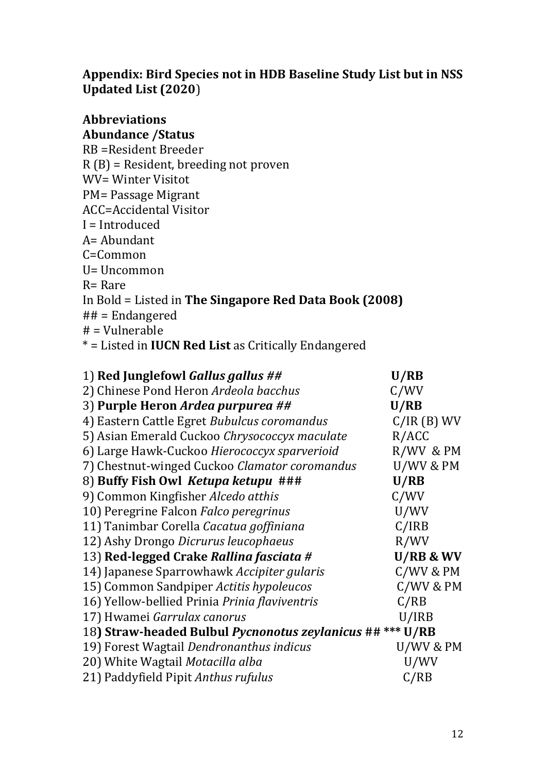# **Appendix: Bird Species not in HDB Baseline Study List but in NSS Updated List (2020**)

#### **Abbreviations Abundance /Status**

| RB = Resident Breeder                                       |
|-------------------------------------------------------------|
| $R(B)$ = Resident, breeding not proven                      |
| <b>WV= Winter Visitot</b>                                   |
| PM= Passage Migrant                                         |
| ACC=Accidental Visitor                                      |
| I = Introduced                                              |
| A= Abundant                                                 |
| C=Common                                                    |
| U= Uncommon                                                 |
| $R =$ Rare                                                  |
| In Bold = Listed in The Singapore Red Data Book (2008)      |
| $## =$ Endangered                                           |
| $#$ = Vulnerable                                            |
| * = Listed in <b>IUCN Red List</b> as Critically Endangered |
|                                                             |
|                                                             |

| 1) Red Junglefowl Gallus gallus ##                        | U/RB          |
|-----------------------------------------------------------|---------------|
| 2) Chinese Pond Heron Ardeola bacchus                     | C/WV          |
| 3) Purple Heron Ardea purpurea ##                         | U/RB          |
| 4) Eastern Cattle Egret Bubulcus coromandus               | $C/IR$ (B) WV |
| 5) Asian Emerald Cuckoo Chrysococcyx maculate             | R/ACC         |
| 6) Large Hawk-Cuckoo Hierococcyx sparverioid              | R/WV & PM     |
| 7) Chestnut-winged Cuckoo Clamator coromandus             | U/WV & PM     |
| 8) Buffy Fish Owl Ketupa ketupu ###                       | U/RB          |
| 9) Common Kingfisher Alcedo atthis                        | C/WV          |
| 10) Peregrine Falcon Falco peregrinus                     | U/WV          |
| 11) Tanimbar Corella Cacatua goffiniana                   | C/IRB         |
| 12) Ashy Drongo Dicrurus leucophaeus                      | R/WV          |
| 13) Red-legged Crake Rallina fasciata #                   | U/RB & WV     |
| 14) Japanese Sparrowhawk Accipiter gularis                | $C/$ WV & PM  |
| 15) Common Sandpiper Actitis hypoleucos                   | $C/$ WV & PM  |
| 16) Yellow-bellied Prinia Prinia flaviventris             | C/RB          |
| 17) Hwamei Garrulax canorus                               | U/IRB         |
| 18) Straw-headed Bulbul Pycnonotus zeylanicus ## *** U/RB |               |
| 19) Forest Wagtail Dendronanthus indicus                  | U/WV & PM     |
| 20) White Wagtail Motacilla alba                          | U/WV          |
| 21) Paddyfield Pipit Anthus rufulus                       | C/RB          |